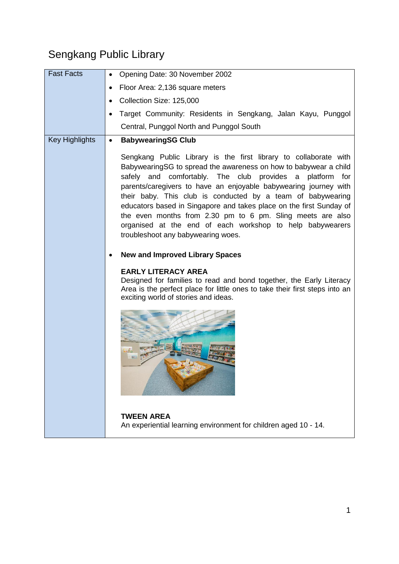## Sengkang Public Library

| <b>Fast Facts</b>     | Opening Date: 30 November 2002                                                                                                                                                                                                                                                                                                                                                                                                                                                                                                                                                                                                                                                                                                                                                                                                                                         |
|-----------------------|------------------------------------------------------------------------------------------------------------------------------------------------------------------------------------------------------------------------------------------------------------------------------------------------------------------------------------------------------------------------------------------------------------------------------------------------------------------------------------------------------------------------------------------------------------------------------------------------------------------------------------------------------------------------------------------------------------------------------------------------------------------------------------------------------------------------------------------------------------------------|
|                       | Floor Area: 2,136 square meters                                                                                                                                                                                                                                                                                                                                                                                                                                                                                                                                                                                                                                                                                                                                                                                                                                        |
|                       | Collection Size: 125,000                                                                                                                                                                                                                                                                                                                                                                                                                                                                                                                                                                                                                                                                                                                                                                                                                                               |
|                       | Target Community: Residents in Sengkang, Jalan Kayu, Punggol                                                                                                                                                                                                                                                                                                                                                                                                                                                                                                                                                                                                                                                                                                                                                                                                           |
|                       | Central, Punggol North and Punggol South                                                                                                                                                                                                                                                                                                                                                                                                                                                                                                                                                                                                                                                                                                                                                                                                                               |
| <b>Key Highlights</b> | <b>BabywearingSG Club</b><br>$\bullet$                                                                                                                                                                                                                                                                                                                                                                                                                                                                                                                                                                                                                                                                                                                                                                                                                                 |
|                       | Sengkang Public Library is the first library to collaborate with<br>BabywearingSG to spread the awareness on how to babywear a child<br>safely and comfortably. The club provides a platform for<br>parents/caregivers to have an enjoyable babywearing journey with<br>their baby. This club is conducted by a team of babywearing<br>educators based in Singapore and takes place on the first Sunday of<br>the even months from 2.30 pm to 6 pm. Sling meets are also<br>organised at the end of each workshop to help babywearers<br>troubleshoot any babywearing woes.<br><b>New and Improved Library Spaces</b><br><b>EARLY LITERACY AREA</b><br>Designed for families to read and bond together, the Early Literacy<br>Area is the perfect place for little ones to take their first steps into an<br>exciting world of stories and ideas.<br><b>TWEEN AREA</b> |
|                       | An experiential learning environment for children aged 10 - 14.                                                                                                                                                                                                                                                                                                                                                                                                                                                                                                                                                                                                                                                                                                                                                                                                        |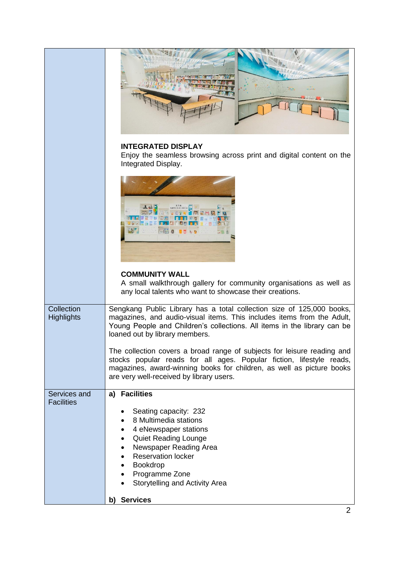|                                   | <b>INTEGRATED DISPLAY</b><br>Enjoy the seamless browsing across print and digital content on the<br>Integrated Display.                                                                                                                                              |
|-----------------------------------|----------------------------------------------------------------------------------------------------------------------------------------------------------------------------------------------------------------------------------------------------------------------|
|                                   |                                                                                                                                                                                                                                                                      |
|                                   | <b>COMMUNITY WALL</b><br>A small walkthrough gallery for community organisations as well as<br>any local talents who want to showcase their creations.                                                                                                               |
| Collection<br><b>Highlights</b>   | Sengkang Public Library has a total collection size of 125,000 books,<br>magazines, and audio-visual items. This includes items from the Adult,<br>Young People and Children's collections. All items in the library can be<br>loaned out by library members.        |
|                                   | The collection covers a broad range of subjects for leisure reading and<br>stocks popular reads for all ages. Popular fiction, lifestyle reads,<br>magazines, award-winning books for children, as well as picture books<br>are very well-received by library users. |
| Services and<br><b>Facilities</b> | a) Facilities<br>Seating capacity: 232<br>8 Multimedia stations<br>4 eNewspaper stations<br><b>Quiet Reading Lounge</b><br>Newspaper Reading Area<br><b>Reservation locker</b><br>Bookdrop<br>Programme Zone<br>Storytelling and Activity Area                       |
|                                   | b) Services                                                                                                                                                                                                                                                          |